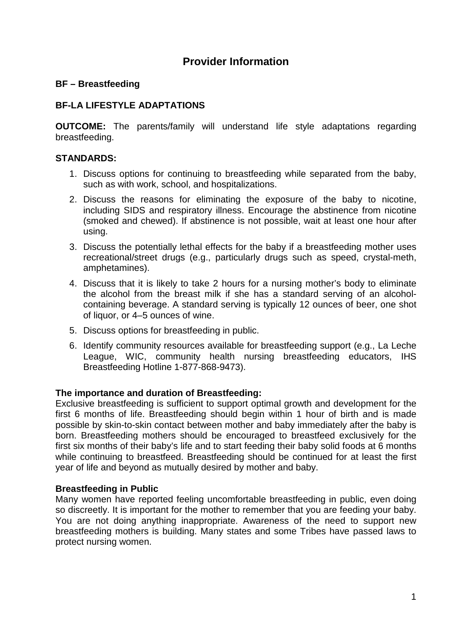# **Provider Information**

# **BF – Breastfeeding**

# **BF-LA LIFESTYLE ADAPTATIONS**

**OUTCOME:** The parents/family will understand life style adaptations regarding breastfeeding.

# **STANDARDS:**

- 1. Discuss options for continuing to breastfeeding while separated from the baby, such as with work, school, and hospitalizations.
- 2. Discuss the reasons for eliminating the exposure of the baby to nicotine, including SIDS and respiratory illness. Encourage the abstinence from nicotine (smoked and chewed). If abstinence is not possible, wait at least one hour after using.
- 3. Discuss the potentially lethal effects for the baby if a breastfeeding mother uses recreational/street drugs (e.g., particularly drugs such as speed, crystal-meth, amphetamines).
- 4. Discuss that it is likely to take 2 hours for a nursing mother's body to eliminate the alcohol from the breast milk if she has a standard serving of an alcoholcontaining beverage. A standard serving is typically 12 ounces of beer, one shot of liquor, or 4–5 ounces of wine.
- 5. Discuss options for breastfeeding in public.
- 6. Identify community resources available for breastfeeding support (e.g., La Leche League, WIC, community health nursing breastfeeding educators, IHS Breastfeeding Hotline 1-877-868-9473).

# **The importance and duration of Breastfeeding:**

Exclusive breastfeeding is sufficient to support optimal growth and development for the first 6 months of life. Breastfeeding should begin within 1 hour of birth and is made possible by skin-to-skin contact between mother and baby immediately after the baby is born. Breastfeeding mothers should be encouraged to breastfeed exclusively for the first six months of their baby's life and to start feeding their baby solid foods at 6 months while continuing to breastfeed. Breastfeeding should be continued for at least the first year of life and beyond as mutually desired by mother and baby.

## **Breastfeeding in Public**

Many women have reported feeling uncomfortable breastfeeding in public, even doing so discreetly. It is important for the mother to remember that you are feeding your baby. You are not doing anything inappropriate. Awareness of the need to support new breastfeeding mothers is building. Many states and some Tribes have passed laws to protect nursing women.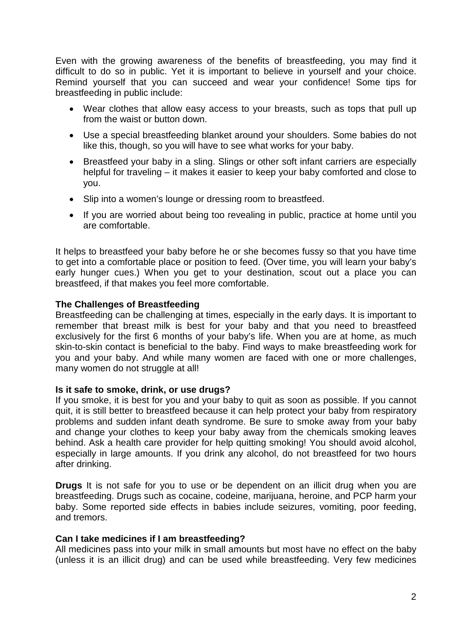Even with the growing awareness of the benefits of breastfeeding, you may find it difficult to do so in public. Yet it is important to believe in yourself and your choice. Remind yourself that you can succeed and wear your confidence! Some tips for breastfeeding in public include:

- Wear clothes that allow easy access to your breasts, such as tops that pull up from the waist or button down.
- Use a special breastfeeding blanket around your shoulders. Some babies do not like this, though, so you will have to see what works for your baby.
- Breastfeed your baby in a sling. Slings or other soft infant carriers are especially helpful for traveling – it makes it easier to keep your baby comforted and close to you.
- Slip into a women's lounge or dressing room to breastfeed.
- If you are worried about being too revealing in public, practice at home until you are comfortable.

It helps to breastfeed your baby before he or she becomes fussy so that you have time to get into a comfortable place or position to feed. (Over time, you will learn your baby's early hunger cues.) When you get to your destination, scout out a place you can breastfeed, if that makes you feel more comfortable.

## **The Challenges of Breastfeeding**

Breastfeeding can be challenging at times, especially in the early days. It is important to remember that breast milk is best for your baby and that you need to breastfeed exclusively for the first 6 months of your baby's life. When you are at home, as much skin-to-skin contact is beneficial to the baby. Find ways to make breastfeeding work for you and your baby. And while many women are faced with one or more challenges, many women do not struggle at all!

## **Is it safe to smoke, drink, or use drugs?**

If you smoke, it is best for you and your baby to quit as soon as possible. If you cannot quit, it is still better to breastfeed because it can help protect your baby from respiratory problems and sudden infant death syndrome. Be sure to smoke away from your baby and change your clothes to keep your baby away from the chemicals smoking leaves behind. Ask a health care provider for help quitting smoking! You should avoid alcohol, especially in large amounts. If you drink any alcohol, do not breastfeed for two hours after drinking.

**Drugs** It is not safe for you to use or be dependent on an illicit drug when you are breastfeeding. Drugs such as cocaine, codeine, marijuana, heroine, and PCP harm your baby. Some reported side effects in babies include seizures, vomiting, poor feeding, and tremors.

## **Can I take medicines if I am breastfeeding?**

All medicines pass into your milk in small amounts but most have no effect on the baby (unless it is an illicit drug) and can be used while breastfeeding. Very few medicines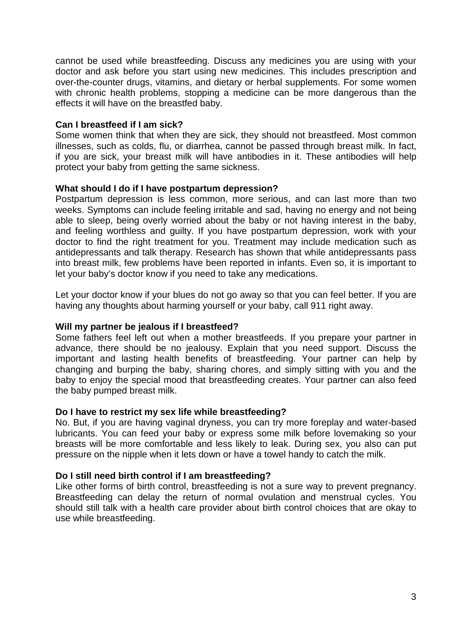cannot be used while breastfeeding. Discuss any medicines you are using with your doctor and ask before you start using new medicines. This includes prescription and over-the-counter drugs, vitamins, and dietary or herbal supplements. For some women with chronic health problems, stopping a medicine can be more dangerous than the effects it will have on the breastfed baby.

## **Can I breastfeed if I am sick?**

Some women think that when they are sick, they should not breastfeed. Most common illnesses, such as colds, flu, or diarrhea, cannot be passed through breast milk. In fact, if you are sick, your breast milk will have antibodies in it. These antibodies will help protect your baby from getting the same sickness.

## **What should I do if I have postpartum depression?**

Postpartum depression is less common, more serious, and can last more than two weeks. Symptoms can include feeling irritable and sad, having no energy and not being able to sleep, being overly worried about the baby or not having interest in the baby, and feeling worthless and guilty. If you have postpartum depression, work with your doctor to find the right treatment for you. Treatment may include medication such as antidepressants and talk therapy. Research has shown that while antidepressants pass into breast milk, few problems have been reported in infants. Even so, it is important to let your baby's doctor know if you need to take any medications.

Let your doctor know if your blues do not go away so that you can feel better. If you are having any thoughts about harming yourself or your baby, call 911 right away.

# **Will my partner be jealous if I breastfeed?**

Some fathers feel left out when a mother breastfeeds. If you prepare your partner in advance, there should be no jealousy. Explain that you need support. Discuss the important and lasting health benefits of breastfeeding. Your partner can help by changing and burping the baby, sharing chores, and simply sitting with you and the baby to enjoy the special mood that breastfeeding creates. Your partner can also feed the baby pumped breast milk.

## **Do I have to restrict my sex life while breastfeeding?**

No. But, if you are having vaginal dryness, you can try more foreplay and water-based lubricants. You can feed your baby or express some milk before lovemaking so your breasts will be more comfortable and less likely to leak. During sex, you also can put pressure on the nipple when it lets down or have a towel handy to catch the milk.

# **Do I still need birth control if I am breastfeeding?**

Like other forms of birth control, breastfeeding is not a sure way to prevent pregnancy. Breastfeeding can delay the return of normal ovulation and menstrual cycles. You should still talk with a health care provider about birth control choices that are okay to use while breastfeeding.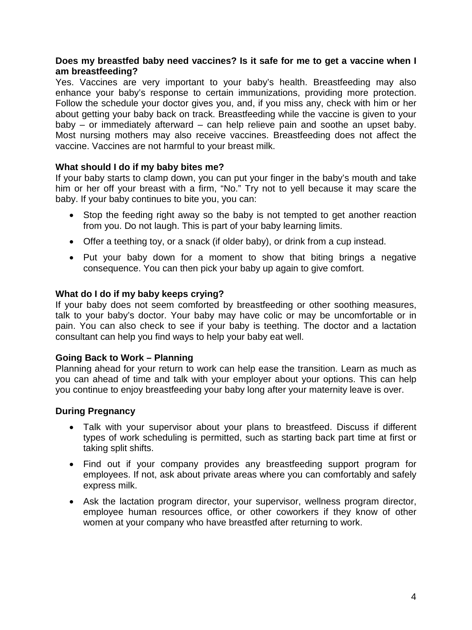## **Does my breastfed baby need vaccines? Is it safe for me to get a vaccine when I am breastfeeding?**

Yes. Vaccines are very important to your baby's health. Breastfeeding may also enhance your baby's response to certain immunizations, providing more protection. Follow the schedule your doctor gives you, and, if you miss any, check with him or her about getting your baby back on track. Breastfeeding while the vaccine is given to your baby – or immediately afterward – can help relieve pain and soothe an upset baby. Most nursing mothers may also receive vaccines. Breastfeeding does not affect the vaccine. Vaccines are not harmful to your breast milk.

## **What should I do if my baby bites me?**

If your baby starts to clamp down, you can put your finger in the baby's mouth and take him or her off your breast with a firm, "No." Try not to yell because it may scare the baby. If your baby continues to bite you, you can:

- Stop the feeding right away so the baby is not tempted to get another reaction from you. Do not laugh. This is part of your baby learning limits.
- Offer a teething toy, or a snack (if older baby), or drink from a cup instead.
- Put your baby down for a moment to show that biting brings a negative consequence. You can then pick your baby up again to give comfort.

## **What do I do if my baby keeps crying?**

If your baby does not seem comforted by breastfeeding or other soothing measures, talk to your baby's doctor. Your baby may have colic or may be uncomfortable or in pain. You can also check to see if your baby is teething. The doctor and a lactation consultant can help you find ways to help your baby eat well.

## **Going Back to Work – Planning**

Planning ahead for your return to work can help ease the transition. Learn as much as you can ahead of time and talk with your employer about your options. This can help you continue to enjoy breastfeeding your baby long after your maternity leave is over.

## **During Pregnancy**

- Talk with your supervisor about your plans to breastfeed. Discuss if different types of work scheduling is permitted, such as starting back part time at first or taking split shifts.
- Find out if your company provides any breastfeeding support program for employees. If not, ask about private areas where you can comfortably and safely express milk.
- Ask the lactation program director, your supervisor, wellness program director, employee human resources office, or other coworkers if they know of other women at your company who have breastfed after returning to work.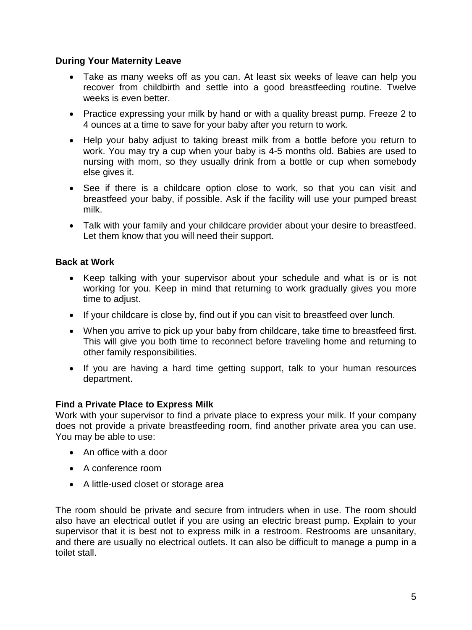# **During Your Maternity Leave**

- Take as many weeks off as you can. At least six weeks of leave can help you recover from childbirth and settle into a good breastfeeding routine. Twelve weeks is even better.
- Practice expressing your milk by hand or with a quality breast pump. Freeze 2 to 4 ounces at a time to save for your baby after you return to work.
- Help your baby adjust to taking breast milk from a bottle before you return to work. You may try a cup when your baby is 4-5 months old. Babies are used to nursing with mom, so they usually drink from a bottle or cup when somebody else gives it.
- See if there is a childcare option close to work, so that you can visit and breastfeed your baby, if possible. Ask if the facility will use your pumped breast milk.
- Talk with your family and your childcare provider about your desire to breastfeed. Let them know that you will need their support.

# **Back at Work**

- Keep talking with your supervisor about your schedule and what is or is not working for you. Keep in mind that returning to work gradually gives you more time to adjust.
- If your childcare is close by, find out if you can visit to breastfeed over lunch.
- When you arrive to pick up your baby from childcare, take time to breastfeed first. This will give you both time to reconnect before traveling home and returning to other family responsibilities.
- If you are having a hard time getting support, talk to your human resources department.

# **Find a Private Place to Express Milk**

Work with your supervisor to find a private place to express your milk. If your company does not provide a private breastfeeding room, find another private area you can use. You may be able to use:

- An office with a door
- A conference room
- A little-used closet or storage area

The room should be private and secure from intruders when in use. The room should also have an electrical outlet if you are using an electric breast pump. Explain to your supervisor that it is best not to express milk in a restroom. Restrooms are unsanitary, and there are usually no electrical outlets. It can also be difficult to manage a pump in a toilet stall.